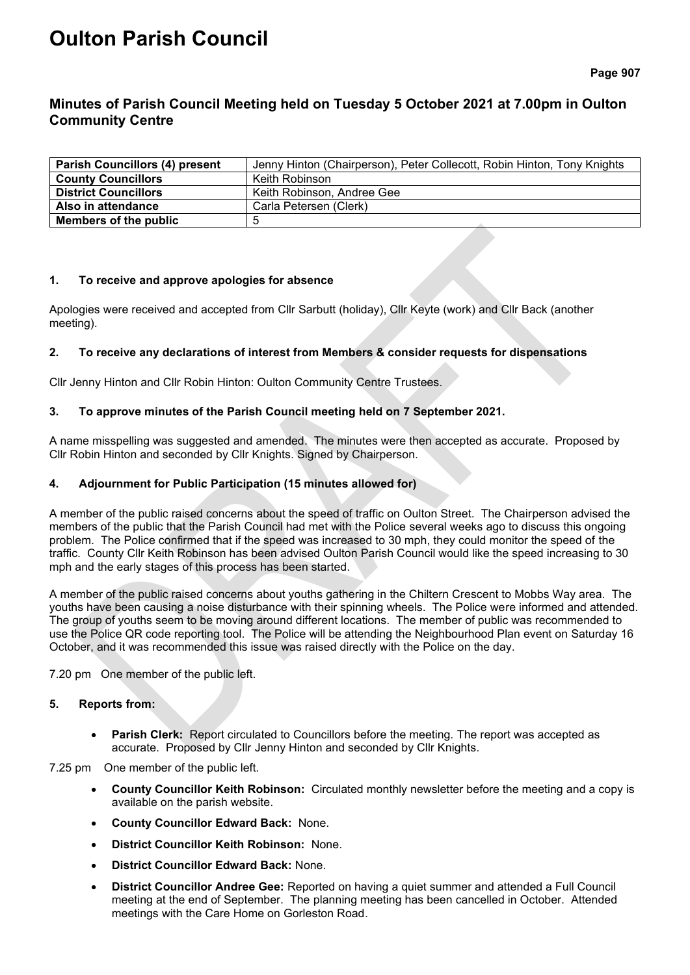# **Oulton Parish Council**

**Page 907**

## **Minutes of Parish Council Meeting held on Tuesday 5 October 2021 at 7.00pm in Oulton Community Centre**

| <b>Parish Councillors (4) present</b> | Jenny Hinton (Chairperson), Peter Collecott, Robin Hinton, Tony Knights |
|---------------------------------------|-------------------------------------------------------------------------|
| <b>County Councillors</b>             | Keith Robinson                                                          |
| <b>District Councillors</b>           | Keith Robinson, Andree Gee                                              |
| Also in attendance                    | Carla Petersen (Clerk)                                                  |
| Members of the public                 | G                                                                       |

## **1. To receive and approve apologies for absence**

Apologies were received and accepted from Cllr Sarbutt (holiday), Cllr Keyte (work) and Cllr Back (another meeting).

## **2. To receive any declarations of interest from Members & consider requests for dispensations**

Cllr Jenny Hinton and Cllr Robin Hinton: Oulton Community Centre Trustees.

## **3. To approve minutes of the Parish Council meeting held on 7 September 2021.**

A name misspelling was suggested and amended. The minutes were then accepted as accurate. Proposed by Cllr Robin Hinton and seconded by Cllr Knights. Signed by Chairperson.

## **4. Adjournment for Public Participation (15 minutes allowed for)**

A member of the public raised concerns about the speed of traffic on Oulton Street. The Chairperson advised the members of the public that the Parish Council had met with the Police several weeks ago to discuss this ongoing problem. The Police confirmed that if the speed was increased to 30 mph, they could monitor the speed of the traffic. County Cllr Keith Robinson has been advised Oulton Parish Council would like the speed increasing to 30 mph and the early stages of this process has been started.

A member of the public raised concerns about youths gathering in the Chiltern Crescent to Mobbs Way area. The youths have been causing a noise disturbance with their spinning wheels. The Police were informed and attended. The group of youths seem to be moving around different locations. The member of public was recommended to use the Police QR code reporting tool. The Police will be attending the Neighbourhood Plan event on Saturday 16 October, and it was recommended this issue was raised directly with the Police on the day.

7.20 pm One member of the public left.

## **5. Reports from:**

• **Parish Clerk:** Report circulated to Councillors before the meeting. The report was accepted as accurate. Proposed by Cllr Jenny Hinton and seconded by Cllr Knights.

7.25 pm One member of the public left.

- **County Councillor Keith Robinson:** Circulated monthly newsletter before the meeting and a copy is available on the parish website.
- **County Councillor Edward Back:** None.
- **District Councillor Keith Robinson:** None.
- **District Councillor Edward Back:** None.
- **District Councillor Andree Gee:** Reported on having a quiet summer and attended a Full Council meeting at the end of September. The planning meeting has been cancelled in October. Attended meetings with the Care Home on Gorleston Road.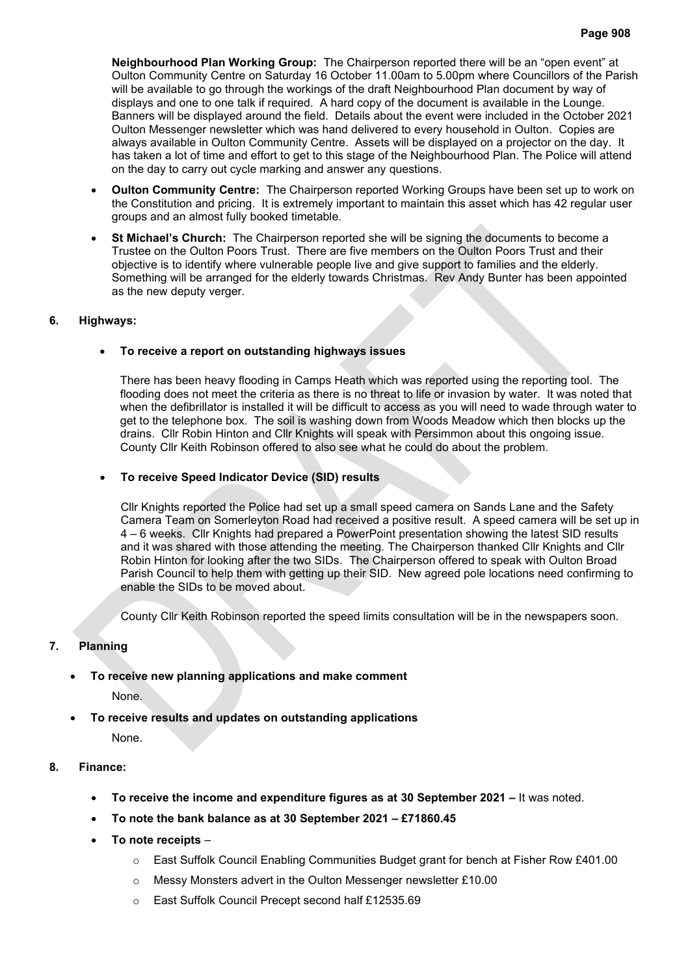**Neighbourhood Plan Working Group:** The Chairperson reported there will be an "open event" at Oulton Community Centre on Saturday 16 October 11.00am to 5.00pm where Councillors of the Parish will be available to go through the workings of the draft Neighbourhood Plan document by way of displays and one to one talk if required. A hard copy of the document is available in the Lounge. Banners will be displayed around the field. Details about the event were included in the October 2021 Oulton Messenger newsletter which was hand delivered to every household in Oulton. Copies are always available in Oulton Community Centre. Assets will be displayed on a projector on the day. It has taken a lot of time and effort to get to this stage of the Neighbourhood Plan. The Police will attend on the day to carry out cycle marking and answer any questions.

- **Oulton Community Centre:** The Chairperson reported Working Groups have been set up to work on the Constitution and pricing. It is extremely important to maintain this asset which has 42 regular user groups and an almost fully booked timetable.
- **St Michael's Church:** The Chairperson reported she will be signing the documents to become a Trustee on the Oulton Poors Trust. There are five members on the Oulton Poors Trust and their objective is to identify where vulnerable people live and give support to families and the elderly. Something will be arranged for the elderly towards Christmas. Rev Andy Bunter has been appointed as the new deputy verger.

#### **6. Highways:**

## • **To receive a report on outstanding highways issues**

There has been heavy flooding in Camps Heath which was reported using the reporting tool. The flooding does not meet the criteria as there is no threat to life or invasion by water. It was noted that when the defibrillator is installed it will be difficult to access as you will need to wade through water to get to the telephone box. The soil is washing down from Woods Meadow which then blocks up the drains. Cllr Robin Hinton and Cllr Knights will speak with Persimmon about this ongoing issue. County Cllr Keith Robinson offered to also see what he could do about the problem.

#### • **To receive Speed Indicator Device (SID) results**

Cllr Knights reported the Police had set up a small speed camera on Sands Lane and the Safety Camera Team on Somerleyton Road had received a positive result. A speed camera will be set up in 4 – 6 weeks. Cllr Knights had prepared a PowerPoint presentation showing the latest SID results and it was shared with those attending the meeting. The Chairperson thanked Cllr Knights and Cllr Robin Hinton for looking after the two SIDs. The Chairperson offered to speak with Oulton Broad Parish Council to help them with getting up their SID. New agreed pole locations need confirming to enable the SIDs to be moved about.

County Cllr Keith Robinson reported the speed limits consultation will be in the newspapers soon.

## **7. Planning**

• **To receive new planning applications and make comment**

None.

• **To receive results and updates on outstanding applications**

None.

- **8. Finance:**
	- **To receive the income and expenditure figures as at 30 September 2021 –** It was noted.
	- **To note the bank balance as at 30 September 2021 – £71860.45**
	- **To note receipts**
		- $\circ$  East Suffolk Council Enabling Communities Budget grant for bench at Fisher Row £401.00
		- o Messy Monsters advert in the Oulton Messenger newsletter £10.00
		- o East Suffolk Council Precept second half £12535.69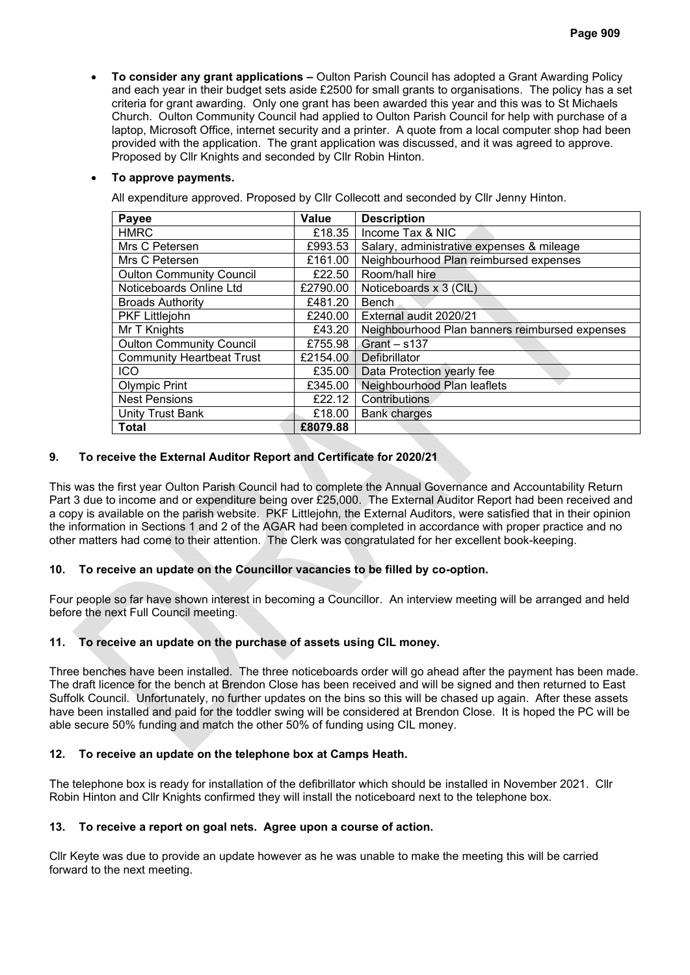• **To consider any grant applications –** Oulton Parish Council has adopted a Grant Awarding Policy and each year in their budget sets aside £2500 for small grants to organisations. The policy has a set criteria for grant awarding. Only one grant has been awarded this year and this was to St Michaels Church. Oulton Community Council had applied to Oulton Parish Council for help with purchase of a laptop, Microsoft Office, internet security and a printer. A quote from a local computer shop had been provided with the application. The grant application was discussed, and it was agreed to approve. Proposed by Cllr Knights and seconded by Cllr Robin Hinton.

## • **To approve payments.**

All expenditure approved. Proposed by Cllr Collecott and seconded by Cllr Jenny Hinton.

| Payee                            | <b>Value</b> | <b>Description</b>                             |
|----------------------------------|--------------|------------------------------------------------|
| <b>HMRC</b>                      | £18.35       | Income Tax & NIC                               |
| Mrs C Petersen                   | £993.53      | Salary, administrative expenses & mileage      |
| Mrs C Petersen                   | £161.00      | Neighbourhood Plan reimbursed expenses         |
| <b>Oulton Community Council</b>  | £22.50       | Room/hall hire                                 |
| Noticeboards Online Ltd          | £2790.00     | Noticeboards x 3 (CIL)                         |
| <b>Broads Authority</b>          | £481.20      | <b>Bench</b>                                   |
| <b>PKF Littlejohn</b>            | £240.00      | External audit 2020/21                         |
| Mr T Knights                     | £43.20       | Neighbourhood Plan banners reimbursed expenses |
| <b>Oulton Community Council</b>  | £755.98      | $Grant - s137$                                 |
| <b>Community Heartbeat Trust</b> | £2154.00     | Defibrillator                                  |
| <b>ICO</b>                       | £35.00       | Data Protection yearly fee                     |
| <b>Olympic Print</b>             | £345.00      | Neighbourhood Plan leaflets                    |
| <b>Nest Pensions</b>             | £22.12       | Contributions                                  |
| <b>Unity Trust Bank</b>          | £18.00       | <b>Bank charges</b>                            |
| Total                            | £8079.88     |                                                |

## **9. To receive the External Auditor Report and Certificate for 2020/21**

This was the first year Oulton Parish Council had to complete the Annual Governance and Accountability Return Part 3 due to income and or expenditure being over £25,000. The External Auditor Report had been received and a copy is available on the parish website. PKF Littlejohn, the External Auditors, were satisfied that in their opinion the information in Sections 1 and 2 of the AGAR had been completed in accordance with proper practice and no other matters had come to their attention. The Clerk was congratulated for her excellent book-keeping.

## **10. To receive an update on the Councillor vacancies to be filled by co-option.**

Four people so far have shown interest in becoming a Councillor. An interview meeting will be arranged and held before the next Full Council meeting.

## **11. To receive an update on the purchase of assets using CIL money.**

Three benches have been installed. The three noticeboards order will go ahead after the payment has been made. The draft licence for the bench at Brendon Close has been received and will be signed and then returned to East Suffolk Council. Unfortunately, no further updates on the bins so this will be chased up again. After these assets have been installed and paid for the toddler swing will be considered at Brendon Close. It is hoped the PC will be able secure 50% funding and match the other 50% of funding using CIL money.

## **12. To receive an update on the telephone box at Camps Heath.**

The telephone box is ready for installation of the defibrillator which should be installed in November 2021. Cllr Robin Hinton and Cllr Knights confirmed they will install the noticeboard next to the telephone box.

## **13. To receive a report on goal nets. Agree upon a course of action.**

Cllr Keyte was due to provide an update however as he was unable to make the meeting this will be carried forward to the next meeting.